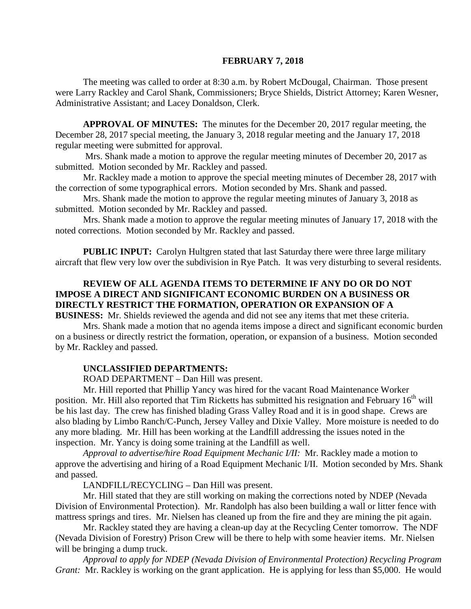#### **FEBRUARY 7, 2018**

The meeting was called to order at 8:30 a.m. by Robert McDougal, Chairman. Those present were Larry Rackley and Carol Shank, Commissioners; Bryce Shields, District Attorney; Karen Wesner, Administrative Assistant; and Lacey Donaldson, Clerk.

**APPROVAL OF MINUTES:** The minutes for the December 20, 2017 regular meeting, the December 28, 2017 special meeting, the January 3, 2018 regular meeting and the January 17, 2018 regular meeting were submitted for approval.

Mrs. Shank made a motion to approve the regular meeting minutes of December 20, 2017 as submitted. Motion seconded by Mr. Rackley and passed.

Mr. Rackley made a motion to approve the special meeting minutes of December 28, 2017 with the correction of some typographical errors. Motion seconded by Mrs. Shank and passed.

Mrs. Shank made the motion to approve the regular meeting minutes of January 3, 2018 as submitted. Motion seconded by Mr. Rackley and passed.

Mrs. Shank made a motion to approve the regular meeting minutes of January 17, 2018 with the noted corrections. Motion seconded by Mr. Rackley and passed.

**PUBLIC INPUT:** Carolyn Hultgren stated that last Saturday there were three large military aircraft that flew very low over the subdivision in Rye Patch. It was very disturbing to several residents.

### **REVIEW OF ALL AGENDA ITEMS TO DETERMINE IF ANY DO OR DO NOT IMPOSE A DIRECT AND SIGNIFICANT ECONOMIC BURDEN ON A BUSINESS OR DIRECTLY RESTRICT THE FORMATION, OPERATION OR EXPANSION OF A**

**BUSINESS:** Mr. Shields reviewed the agenda and did not see any items that met these criteria. Mrs. Shank made a motion that no agenda items impose a direct and significant economic burden on a business or directly restrict the formation, operation, or expansion of a business. Motion seconded by Mr. Rackley and passed.

#### **UNCLASSIFIED DEPARTMENTS:**

ROAD DEPARTMENT – Dan Hill was present.

Mr. Hill reported that Phillip Yancy was hired for the vacant Road Maintenance Worker position. Mr. Hill also reported that Tim Ricketts has submitted his resignation and February 16<sup>th</sup> will be his last day. The crew has finished blading Grass Valley Road and it is in good shape. Crews are also blading by Limbo Ranch/C-Punch, Jersey Valley and Dixie Valley. More moisture is needed to do any more blading. Mr. Hill has been working at the Landfill addressing the issues noted in the inspection. Mr. Yancy is doing some training at the Landfill as well.

*Approval to advertise/hire Road Equipment Mechanic I/II:* Mr. Rackley made a motion to approve the advertising and hiring of a Road Equipment Mechanic I/II. Motion seconded by Mrs. Shank and passed.

LANDFILL/RECYCLING – Dan Hill was present.

Mr. Hill stated that they are still working on making the corrections noted by NDEP (Nevada Division of Environmental Protection). Mr. Randolph has also been building a wall or litter fence with mattress springs and tires. Mr. Nielsen has cleaned up from the fire and they are mining the pit again.

Mr. Rackley stated they are having a clean-up day at the Recycling Center tomorrow. The NDF (Nevada Division of Forestry) Prison Crew will be there to help with some heavier items. Mr. Nielsen will be bringing a dump truck.

*Approval to apply for NDEP (Nevada Division of Environmental Protection) Recycling Program Grant:* Mr. Rackley is working on the grant application. He is applying for less than \$5,000. He would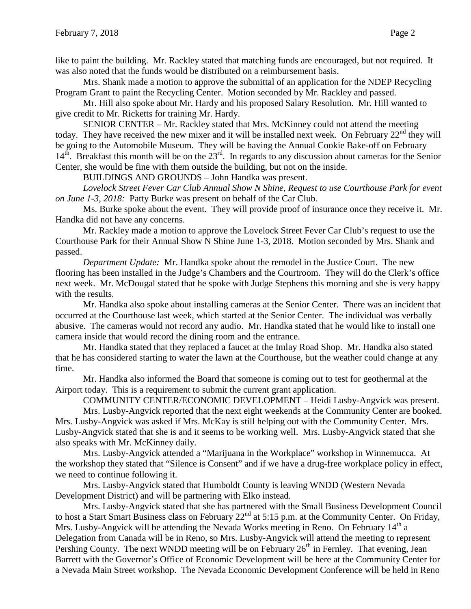like to paint the building. Mr. Rackley stated that matching funds are encouraged, but not required. It was also noted that the funds would be distributed on a reimbursement basis.

Mrs. Shank made a motion to approve the submittal of an application for the NDEP Recycling Program Grant to paint the Recycling Center. Motion seconded by Mr. Rackley and passed.

Mr. Hill also spoke about Mr. Hardy and his proposed Salary Resolution. Mr. Hill wanted to give credit to Mr. Ricketts for training Mr. Hardy.

SENIOR CENTER – Mr. Rackley stated that Mrs. McKinney could not attend the meeting today. They have received the new mixer and it will be installed next week. On February 22<sup>nd</sup> they will be going to the Automobile Museum. They will be having the Annual Cookie Bake-off on February  $14<sup>th</sup>$ . Breakfast this month will be on the  $23<sup>rd</sup>$ . In regards to any discussion about cameras for the Senior Center, she would be fine with them outside the building, but not on the inside.

BUILDINGS AND GROUNDS – John Handka was present.

*Lovelock Street Fever Car Club Annual Show N Shine, Request to use Courthouse Park for event on June 1-3, 2018:* Patty Burke was present on behalf of the Car Club.

Ms. Burke spoke about the event. They will provide proof of insurance once they receive it. Mr. Handka did not have any concerns.

Mr. Rackley made a motion to approve the Lovelock Street Fever Car Club's request to use the Courthouse Park for their Annual Show N Shine June 1-3, 2018. Motion seconded by Mrs. Shank and passed.

*Department Update:* Mr. Handka spoke about the remodel in the Justice Court. The new flooring has been installed in the Judge's Chambers and the Courtroom. They will do the Clerk's office next week. Mr. McDougal stated that he spoke with Judge Stephens this morning and she is very happy with the results.

Mr. Handka also spoke about installing cameras at the Senior Center. There was an incident that occurred at the Courthouse last week, which started at the Senior Center. The individual was verbally abusive. The cameras would not record any audio. Mr. Handka stated that he would like to install one camera inside that would record the dining room and the entrance.

Mr. Handka stated that they replaced a faucet at the Imlay Road Shop. Mr. Handka also stated that he has considered starting to water the lawn at the Courthouse, but the weather could change at any time.

Mr. Handka also informed the Board that someone is coming out to test for geothermal at the Airport today. This is a requirement to submit the current grant application.

COMMUNITY CENTER/ECONOMIC DEVELOPMENT – Heidi Lusby-Angvick was present. Mrs. Lusby-Angvick reported that the next eight weekends at the Community Center are booked. Mrs. Lusby-Angvick was asked if Mrs. McKay is still helping out with the Community Center. Mrs. Lusby-Angvick stated that she is and it seems to be working well. Mrs. Lusby-Angvick stated that she

also speaks with Mr. McKinney daily. Mrs. Lusby-Angvick attended a "Marijuana in the Workplace" workshop in Winnemucca. At the workshop they stated that "Silence is Consent" and if we have a drug-free workplace policy in effect, we need to continue following it.

Mrs. Lusby-Angvick stated that Humboldt County is leaving WNDD (Western Nevada Development District) and will be partnering with Elko instead.

Mrs. Lusby-Angvick stated that she has partnered with the Small Business Development Council to host a Start Smart Business class on February 22<sup>nd</sup> at 5:15 p.m. at the Community Center. On Friday, Mrs. Lusby-Angvick will be attending the Nevada Works meeting in Reno. On February  $14<sup>th</sup>$  a Delegation from Canada will be in Reno, so Mrs. Lusby-Angvick will attend the meeting to represent Pershing County. The next WNDD meeting will be on February  $26<sup>th</sup>$  in Fernley. That evening, Jean Barrett with the Governor's Office of Economic Development will be here at the Community Center for a Nevada Main Street workshop. The Nevada Economic Development Conference will be held in Reno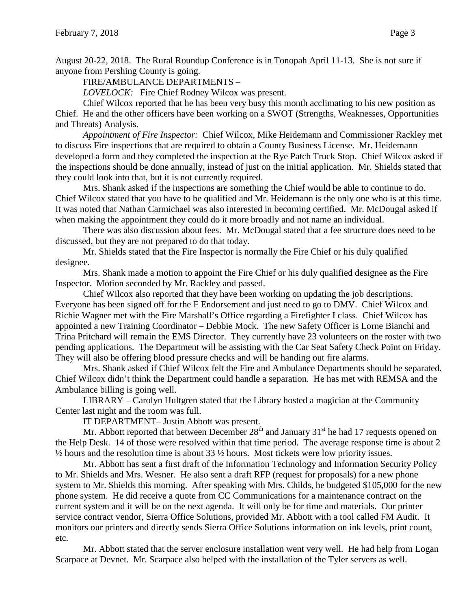August 20-22, 2018. The Rural Roundup Conference is in Tonopah April 11-13. She is not sure if anyone from Pershing County is going.

FIRE/AMBULANCE DEPARTMENTS –

*LOVELOCK:* Fire Chief Rodney Wilcox was present.

Chief Wilcox reported that he has been very busy this month acclimating to his new position as Chief. He and the other officers have been working on a SWOT (Strengths, Weaknesses, Opportunities and Threats) Analysis.

*Appointment of Fire Inspector:* Chief Wilcox, Mike Heidemann and Commissioner Rackley met to discuss Fire inspections that are required to obtain a County Business License. Mr. Heidemann developed a form and they completed the inspection at the Rye Patch Truck Stop. Chief Wilcox asked if the inspections should be done annually, instead of just on the initial application. Mr. Shields stated that they could look into that, but it is not currently required.

Mrs. Shank asked if the inspections are something the Chief would be able to continue to do. Chief Wilcox stated that you have to be qualified and Mr. Heidemann is the only one who is at this time. It was noted that Nathan Carmichael was also interested in becoming certified. Mr. McDougal asked if when making the appointment they could do it more broadly and not name an individual.

There was also discussion about fees. Mr. McDougal stated that a fee structure does need to be discussed, but they are not prepared to do that today.

Mr. Shields stated that the Fire Inspector is normally the Fire Chief or his duly qualified designee.

Mrs. Shank made a motion to appoint the Fire Chief or his duly qualified designee as the Fire Inspector. Motion seconded by Mr. Rackley and passed.

Chief Wilcox also reported that they have been working on updating the job descriptions. Everyone has been signed off for the F Endorsement and just need to go to DMV. Chief Wilcox and Richie Wagner met with the Fire Marshall's Office regarding a Firefighter I class. Chief Wilcox has appointed a new Training Coordinator – Debbie Mock. The new Safety Officer is Lorne Bianchi and Trina Pritchard will remain the EMS Director. They currently have 23 volunteers on the roster with two pending applications. The Department will be assisting with the Car Seat Safety Check Point on Friday. They will also be offering blood pressure checks and will be handing out fire alarms.

Mrs. Shank asked if Chief Wilcox felt the Fire and Ambulance Departments should be separated. Chief Wilcox didn't think the Department could handle a separation. He has met with REMSA and the Ambulance billing is going well.

LIBRARY – Carolyn Hultgren stated that the Library hosted a magician at the Community Center last night and the room was full.

IT DEPARTMENT– Justin Abbott was present.

Mr. Abbott reported that between December  $28<sup>th</sup>$  and January 31<sup>st</sup> he had 17 requests opened on the Help Desk. 14 of those were resolved within that time period. The average response time is about 2  $\frac{1}{2}$  hours and the resolution time is about 33  $\frac{1}{2}$  hours. Most tickets were low priority issues.

Mr. Abbott has sent a first draft of the Information Technology and Information Security Policy to Mr. Shields and Mrs. Wesner. He also sent a draft RFP (request for proposals) for a new phone system to Mr. Shields this morning. After speaking with Mrs. Childs, he budgeted \$105,000 for the new phone system. He did receive a quote from CC Communications for a maintenance contract on the current system and it will be on the next agenda. It will only be for time and materials. Our printer service contract vendor, Sierra Office Solutions, provided Mr. Abbott with a tool called FM Audit. It monitors our printers and directly sends Sierra Office Solutions information on ink levels, print count, etc.

Mr. Abbott stated that the server enclosure installation went very well. He had help from Logan Scarpace at Devnet. Mr. Scarpace also helped with the installation of the Tyler servers as well.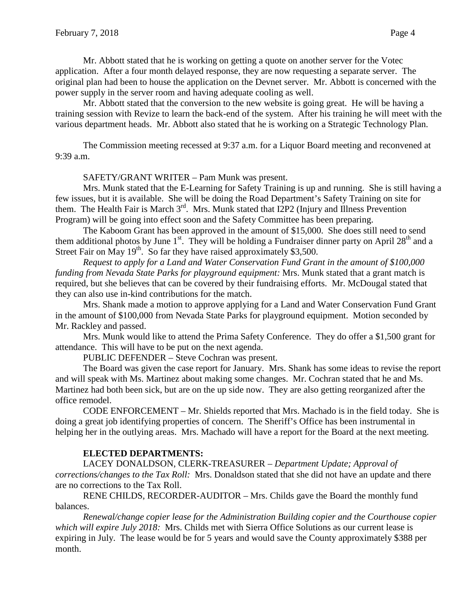Mr. Abbott stated that he is working on getting a quote on another server for the Votec application. After a four month delayed response, they are now requesting a separate server. The original plan had been to house the application on the Devnet server. Mr. Abbott is concerned with the power supply in the server room and having adequate cooling as well.

Mr. Abbott stated that the conversion to the new website is going great. He will be having a training session with Revize to learn the back-end of the system. After his training he will meet with the various department heads. Mr. Abbott also stated that he is working on a Strategic Technology Plan.

The Commission meeting recessed at 9:37 a.m. for a Liquor Board meeting and reconvened at 9:39 a.m.

SAFETY/GRANT WRITER – Pam Munk was present.

Mrs. Munk stated that the E-Learning for Safety Training is up and running. She is still having a few issues, but it is available. She will be doing the Road Department's Safety Training on site for them. The Health Fair is March  $3<sup>rd</sup>$ . Mrs. Munk stated that I2P2 (Injury and Illness Prevention Program) will be going into effect soon and the Safety Committee has been preparing.

The Kaboom Grant has been approved in the amount of \$15,000. She does still need to send them additional photos by June  $1<sup>st</sup>$ . They will be holding a Fundraiser dinner party on April 28<sup>th</sup> and a Street Fair on May 19<sup>th</sup>. So far they have raised approximately \$3,500.

*Request to apply for a Land and Water Conservation Fund Grant in the amount of \$100,000 funding from Nevada State Parks for playground equipment:* Mrs. Munk stated that a grant match is required, but she believes that can be covered by their fundraising efforts. Mr. McDougal stated that they can also use in-kind contributions for the match.

Mrs. Shank made a motion to approve applying for a Land and Water Conservation Fund Grant in the amount of \$100,000 from Nevada State Parks for playground equipment. Motion seconded by Mr. Rackley and passed.

Mrs. Munk would like to attend the Prima Safety Conference. They do offer a \$1,500 grant for attendance. This will have to be put on the next agenda.

PUBLIC DEFENDER – Steve Cochran was present.

The Board was given the case report for January. Mrs. Shank has some ideas to revise the report and will speak with Ms. Martinez about making some changes. Mr. Cochran stated that he and Ms. Martinez had both been sick, but are on the up side now. They are also getting reorganized after the office remodel.

CODE ENFORCEMENT – Mr. Shields reported that Mrs. Machado is in the field today. She is doing a great job identifying properties of concern. The Sheriff's Office has been instrumental in helping her in the outlying areas. Mrs. Machado will have a report for the Board at the next meeting.

### **ELECTED DEPARTMENTS:**

LACEY DONALDSON, CLERK-TREASURER – *Department Update; Approval of corrections/changes to the Tax Roll:* Mrs. Donaldson stated that she did not have an update and there are no corrections to the Tax Roll.

RENE CHILDS, RECORDER-AUDITOR – Mrs. Childs gave the Board the monthly fund balances.

*Renewal/change copier lease for the Administration Building copier and the Courthouse copier which will expire July 2018:* Mrs. Childs met with Sierra Office Solutions as our current lease is expiring in July. The lease would be for 5 years and would save the County approximately \$388 per month.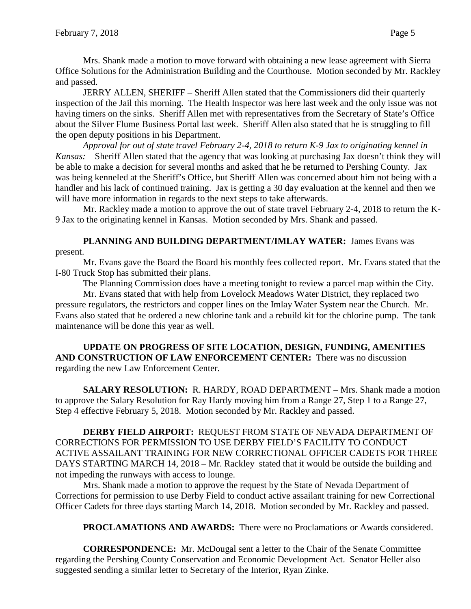Mrs. Shank made a motion to move forward with obtaining a new lease agreement with Sierra Office Solutions for the Administration Building and the Courthouse. Motion seconded by Mr. Rackley and passed.

JERRY ALLEN, SHERIFF – Sheriff Allen stated that the Commissioners did their quarterly inspection of the Jail this morning. The Health Inspector was here last week and the only issue was not having timers on the sinks. Sheriff Allen met with representatives from the Secretary of State's Office about the Silver Flume Business Portal last week. Sheriff Allen also stated that he is struggling to fill the open deputy positions in his Department.

*Approval for out of state travel February 2-4, 2018 to return K-9 Jax to originating kennel in Kansas:* Sheriff Allen stated that the agency that was looking at purchasing Jax doesn't think they will be able to make a decision for several months and asked that he be returned to Pershing County. Jax was being kenneled at the Sheriff's Office, but Sheriff Allen was concerned about him not being with a handler and his lack of continued training. Jax is getting a 30 day evaluation at the kennel and then we will have more information in regards to the next steps to take afterwards.

Mr. Rackley made a motion to approve the out of state travel February 2-4, 2018 to return the K-9 Jax to the originating kennel in Kansas. Motion seconded by Mrs. Shank and passed.

# PLANNING AND BUILDING DEPARTMENT/IMLAY WATER: James Evans was

present.

Mr. Evans gave the Board the Board his monthly fees collected report. Mr. Evans stated that the I-80 Truck Stop has submitted their plans.

The Planning Commission does have a meeting tonight to review a parcel map within the City.

Mr. Evans stated that with help from Lovelock Meadows Water District, they replaced two pressure regulators, the restrictors and copper lines on the Imlay Water System near the Church. Mr. Evans also stated that he ordered a new chlorine tank and a rebuild kit for the chlorine pump. The tank maintenance will be done this year as well.

**UPDATE ON PROGRESS OF SITE LOCATION, DESIGN, FUNDING, AMENITIES AND CONSTRUCTION OF LAW ENFORCEMENT CENTER:** There was no discussion regarding the new Law Enforcement Center.

**SALARY RESOLUTION:** R. HARDY, ROAD DEPARTMENT – Mrs. Shank made a motion to approve the Salary Resolution for Ray Hardy moving him from a Range 27, Step 1 to a Range 27, Step 4 effective February 5, 2018. Motion seconded by Mr. Rackley and passed.

**DERBY FIELD AIRPORT:** REQUEST FROM STATE OF NEVADA DEPARTMENT OF CORRECTIONS FOR PERMISSION TO USE DERBY FIELD'S FACILITY TO CONDUCT ACTIVE ASSAILANT TRAINING FOR NEW CORRECTIONAL OFFICER CADETS FOR THREE DAYS STARTING MARCH 14, 2018 – Mr. Rackley stated that it would be outside the building and not impeding the runways with access to lounge.

Mrs. Shank made a motion to approve the request by the State of Nevada Department of Corrections for permission to use Derby Field to conduct active assailant training for new Correctional Officer Cadets for three days starting March 14, 2018. Motion seconded by Mr. Rackley and passed.

**PROCLAMATIONS AND AWARDS:** There were no Proclamations or Awards considered.

**CORRESPONDENCE:** Mr. McDougal sent a letter to the Chair of the Senate Committee regarding the Pershing County Conservation and Economic Development Act. Senator Heller also suggested sending a similar letter to Secretary of the Interior, Ryan Zinke.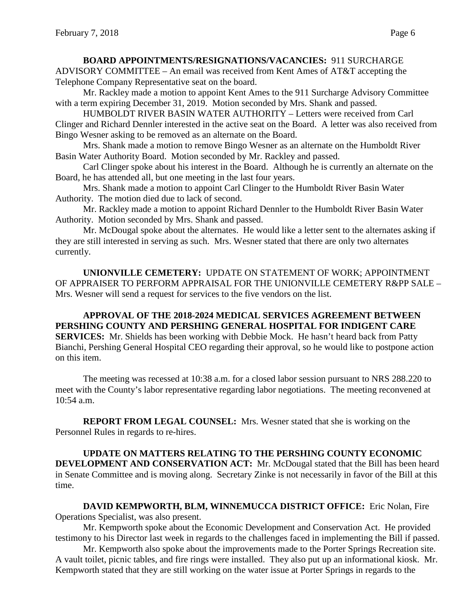### **BOARD APPOINTMENTS/RESIGNATIONS/VACANCIES:** 911 SURCHARGE

ADVISORY COMMITTEE – An email was received from Kent Ames of AT&T accepting the Telephone Company Representative seat on the board.

Mr. Rackley made a motion to appoint Kent Ames to the 911 Surcharge Advisory Committee with a term expiring December 31, 2019. Motion seconded by Mrs. Shank and passed.

HUMBOLDT RIVER BASIN WATER AUTHORITY – Letters were received from Carl Clinger and Richard Dennler interested in the active seat on the Board. A letter was also received from Bingo Wesner asking to be removed as an alternate on the Board.

Mrs. Shank made a motion to remove Bingo Wesner as an alternate on the Humboldt River Basin Water Authority Board. Motion seconded by Mr. Rackley and passed.

Carl Clinger spoke about his interest in the Board. Although he is currently an alternate on the Board, he has attended all, but one meeting in the last four years.

Mrs. Shank made a motion to appoint Carl Clinger to the Humboldt River Basin Water Authority. The motion died due to lack of second.

Mr. Rackley made a motion to appoint Richard Dennler to the Humboldt River Basin Water Authority. Motion seconded by Mrs. Shank and passed.

Mr. McDougal spoke about the alternates. He would like a letter sent to the alternates asking if they are still interested in serving as such. Mrs. Wesner stated that there are only two alternates currently.

**UNIONVILLE CEMETERY:** UPDATE ON STATEMENT OF WORK; APPOINTMENT OF APPRAISER TO PERFORM APPRAISAL FOR THE UNIONVILLE CEMETERY R&PP SALE – Mrs. Wesner will send a request for services to the five vendors on the list.

**APPROVAL OF THE 2018-2024 MEDICAL SERVICES AGREEMENT BETWEEN PERSHING COUNTY AND PERSHING GENERAL HOSPITAL FOR INDIGENT CARE SERVICES:** Mr. Shields has been working with Debbie Mock. He hasn't heard back from Patty Bianchi, Pershing General Hospital CEO regarding their approval, so he would like to postpone action on this item.

The meeting was recessed at 10:38 a.m. for a closed labor session pursuant to NRS 288.220 to meet with the County's labor representative regarding labor negotiations. The meeting reconvened at 10:54 a.m.

**REPORT FROM LEGAL COUNSEL:** Mrs. Wesner stated that she is working on the Personnel Rules in regards to re-hires.

**UPDATE ON MATTERS RELATING TO THE PERSHING COUNTY ECONOMIC DEVELOPMENT AND CONSERVATION ACT:** Mr. McDougal stated that the Bill has been heard in Senate Committee and is moving along. Secretary Zinke is not necessarily in favor of the Bill at this time.

**DAVID KEMPWORTH, BLM, WINNEMUCCA DISTRICT OFFICE:** Eric Nolan, Fire Operations Specialist, was also present.

Mr. Kempworth spoke about the Economic Development and Conservation Act. He provided testimony to his Director last week in regards to the challenges faced in implementing the Bill if passed.

Mr. Kempworth also spoke about the improvements made to the Porter Springs Recreation site. A vault toilet, picnic tables, and fire rings were installed. They also put up an informational kiosk. Mr. Kempworth stated that they are still working on the water issue at Porter Springs in regards to the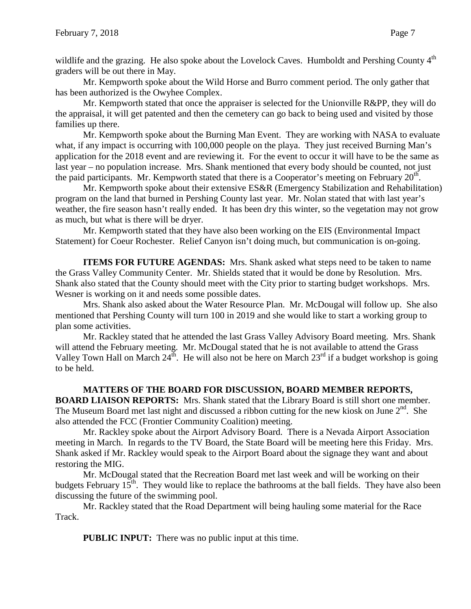wildlife and the grazing. He also spoke about the Lovelock Caves. Humboldt and Pershing County 4<sup>th</sup> graders will be out there in May.

Mr. Kempworth spoke about the Wild Horse and Burro comment period. The only gather that has been authorized is the Owyhee Complex.

Mr. Kempworth stated that once the appraiser is selected for the Unionville R&PP, they will do the appraisal, it will get patented and then the cemetery can go back to being used and visited by those families up there.

Mr. Kempworth spoke about the Burning Man Event. They are working with NASA to evaluate what, if any impact is occurring with 100,000 people on the playa. They just received Burning Man's application for the 2018 event and are reviewing it. For the event to occur it will have to be the same as last year – no population increase. Mrs. Shank mentioned that every body should be counted, not just the paid participants. Mr. Kempworth stated that there is a Cooperator's meeting on February  $20<sup>th</sup>$ .

Mr. Kempworth spoke about their extensive ES&R (Emergency Stabilization and Rehabilitation) program on the land that burned in Pershing County last year. Mr. Nolan stated that with last year's weather, the fire season hasn't really ended. It has been dry this winter, so the vegetation may not grow as much, but what is there will be dryer.

Mr. Kempworth stated that they have also been working on the EIS (Environmental Impact Statement) for Coeur Rochester. Relief Canyon isn't doing much, but communication is on-going.

**ITEMS FOR FUTURE AGENDAS:** Mrs. Shank asked what steps need to be taken to name the Grass Valley Community Center. Mr. Shields stated that it would be done by Resolution. Mrs. Shank also stated that the County should meet with the City prior to starting budget workshops. Mrs. Wesner is working on it and needs some possible dates.

Mrs. Shank also asked about the Water Resource Plan. Mr. McDougal will follow up. She also mentioned that Pershing County will turn 100 in 2019 and she would like to start a working group to plan some activities.

Mr. Rackley stated that he attended the last Grass Valley Advisory Board meeting. Mrs. Shank will attend the February meeting. Mr. McDougal stated that he is not available to attend the Grass Valley Town Hall on March  $24^{th}$ . He will also not be here on March  $23^{rd}$  if a budget workshop is going to be held.

# **MATTERS OF THE BOARD FOR DISCUSSION, BOARD MEMBER REPORTS,**

**BOARD LIAISON REPORTS:** Mrs. Shank stated that the Library Board is still short one member. The Museum Board met last night and discussed a ribbon cutting for the new kiosk on June  $2<sup>nd</sup>$ . She also attended the FCC (Frontier Community Coalition) meeting.

Mr. Rackley spoke about the Airport Advisory Board. There is a Nevada Airport Association meeting in March. In regards to the TV Board, the State Board will be meeting here this Friday. Mrs. Shank asked if Mr. Rackley would speak to the Airport Board about the signage they want and about restoring the MIG.

Mr. McDougal stated that the Recreation Board met last week and will be working on their budgets February  $15<sup>th</sup>$ . They would like to replace the bathrooms at the ball fields. They have also been discussing the future of the swimming pool.

Mr. Rackley stated that the Road Department will being hauling some material for the Race Track.

**PUBLIC INPUT:** There was no public input at this time.